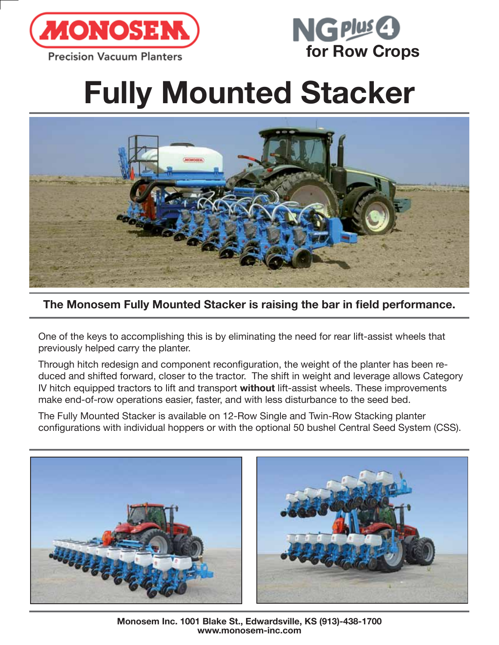



## **Fully Mounted Stacker**



**The Monosem Fully Mounted Stacker is raising the bar in field performance.** 

One of the keys to accomplishing this is by eliminating the need for rear lift-assist wheels that previously helped carry the planter.

Through hitch redesign and component reconfiguration, the weight of the planter has been reduced and shifted forward, closer to the tractor. The shift in weight and leverage allows Category IV hitch equipped tractors to lift and transport **without** lift-assist wheels. These improvements make end-of-row operations easier, faster, and with less disturbance to the seed bed.

The Fully Mounted Stacker is available on 12-Row Single and Twin-Row Stacking planter configurations with individual hoppers or with the optional 50 bushel Central Seed System (CSS).



**Monosem Inc. 1001 Blake St., Edwardsville, KS (913)-438-1700 www.monosem-inc.com**